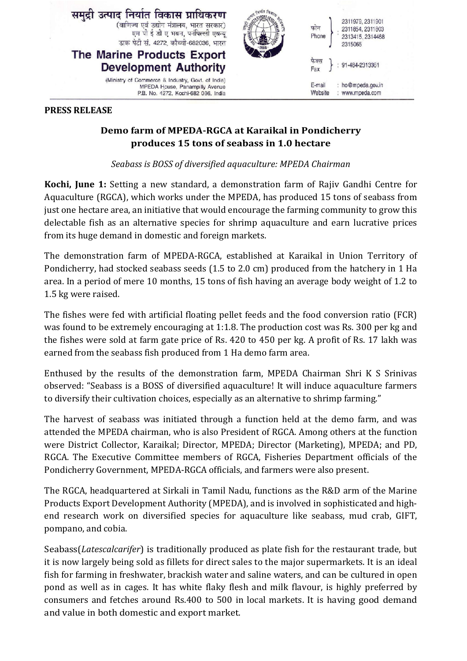

## **PRESS RELEASE**

## **Demo farm of MPEDA-RGCA at Karaikal in Pondicherry produces 15 tons of seabass in 1.0 hectare**

*Seabass is BOSS of diversified aquaculture: MPEDA Chairman* 

**Kochi, June 1:** Setting a new standard, a demonstration farm of Rajiv Gandhi Centre for Aquaculture (RGCA), which works under the MPEDA, has produced 15 tons of seabass from just one hectare area, an initiative that would encourage the farming community to grow this delectable fish as an alternative species for shrimp aquaculture and earn lucrative prices from its huge demand in domestic and foreign markets.

The demonstration farm of MPEDA-RGCA, established at Karaikal in Union Territory of Pondicherry, had stocked seabass seeds (1.5 to 2.0 cm) produced from the hatchery in 1 Ha area. In a period of mere 10 months, 15 tons of fish having an average body weight of 1.2 to 1.5 kg were raised.

The fishes were fed with artificial floating pellet feeds and the food conversion ratio (FCR) was found to be extremely encouraging at 1:1.8. The production cost was Rs. 300 per kg and the fishes were sold at farm gate price of Rs. 420 to 450 per kg. A profit of Rs. 17 lakh was earned from the seabass fish produced from 1 Ha demo farm area.

Enthused by the results of the demonstration farm, MPEDA Chairman Shri K S Srinivas observed: "Seabass is a BOSS of diversified aquaculture! It will induce aquaculture farmers to diversify their cultivation choices, especially as an alternative to shrimp farming."

The harvest of seabass was initiated through a function held at the demo farm, and was attended the MPEDA chairman, who is also President of RGCA. Among others at the function were District Collector, Karaikal; Director, MPEDA; Director (Marketing), MPEDA; and PD, RGCA. The Executive Committee members of RGCA, Fisheries Department officials of the Pondicherry Government, MPEDA-RGCA officials, and farmers were also present.

The RGCA, headquartered at Sirkali in Tamil Nadu, functions as the R&D arm of the Marine Products Export Development Authority (MPEDA), and is involved in sophisticated and highend research work on diversified species for aquaculture like seabass, mud crab, GIFT, pompano, and cobia.

Seabass(*Latescalcarifer*) is traditionally produced as plate fish for the restaurant trade, but it is now largely being sold as fillets for direct sales to the major supermarkets. It is an ideal fish for farming in freshwater, brackish water and saline waters, and can be cultured in open pond as well as in cages. It has white flaky flesh and milk flavour, is highly preferred by consumers and fetches around Rs.400 to 500 in local markets. It is having good demand and value in both domestic and export market.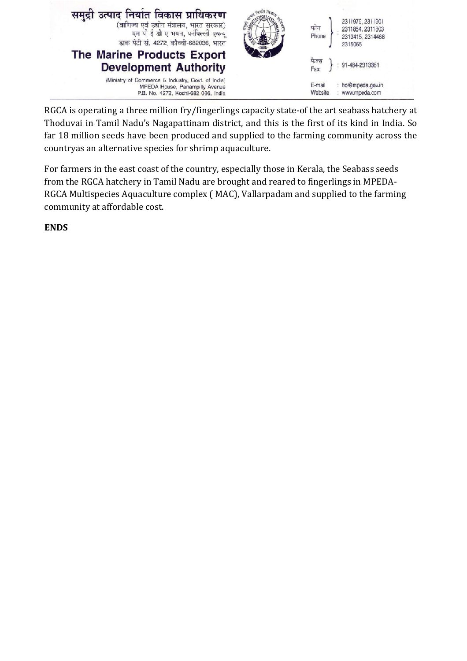

RGCA is operating a three million fry/fingerlings capacity state-of the art seabass hatchery at Thoduvai in Tamil Nadu's Nagapattinam district, and this is the first of its kind in India. So far 18 million seeds have been produced and supplied to the farming community across the countryas an alternative species for shrimp aquaculture.

For farmers in the east coast of the country, especially those in Kerala, the Seabass seeds from the RGCA hatchery in Tamil Nadu are brought and reared to fingerlings in MPEDA-RGCA Multispecies Aquaculture complex ( MAC), Vallarpadam and supplied to the farming community at affordable cost.

**ENDS**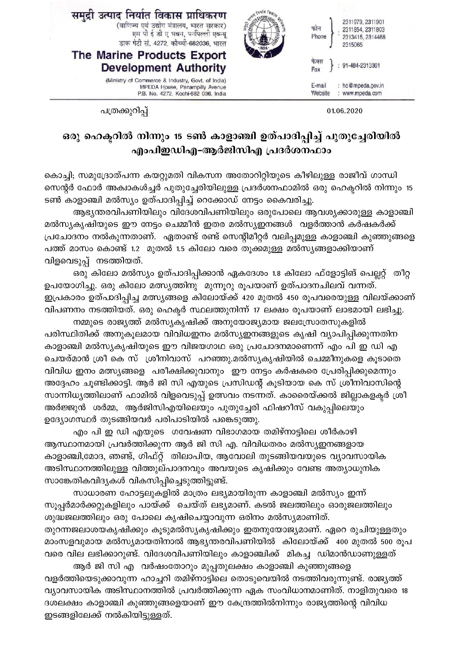| समुद्री उत्पाद निर्यात विकास प्राधिकरण<br>(वाणिज्य एवं उद्योग मंत्रालय, भारत सरकार)<br>एम पी ई डी ए भवन, पनंपिल्ली एवन्यू<br>डाक पेटी सं. 4272, कौच्ची-682036, भारत<br>The Marine Products Export<br><b>Development Authority</b> | 2311979, 2311901<br>फोन<br>2311854, 2311803<br>Phone<br>2313415, 2314468<br>2315065<br>फकस<br>91-484-2313361<br>Fax |  |
|-----------------------------------------------------------------------------------------------------------------------------------------------------------------------------------------------------------------------------------|---------------------------------------------------------------------------------------------------------------------|--|
| (Ministry of Commerce & Industry, Govt. of India)<br>MPEDA House, Panampilly Avenue<br>P.B. No. 4272, Kochi-682 036, India                                                                                                        | : ho@mpeda.gov.in<br>E-mail<br>: www.mpeda.com<br>Website                                                           |  |

01.06.2020

പത്രക്കുറിപ്പ്

## ഒരു ഹെക്ടറിൽ നിന്നും 15 ടൺ കാളാഞ്ചി ഉത്പാദിപ്പിച്ച് പുതുച്ചേരിയിൽ എംപിഇഡിഎ–ആർജിസിഎ പ്രദർശനഫാം

കൊച്ചി; സമുദ്രോത്പന്ന കയറ്റുമതി വികസന അതോറിറ്റിയുടെ കീഴിലുള്ള രാജീവ് ഗാന്ധി സെന്റർ ഫോർ അക്വാകൾച്ചർ പുതുച്ചേരിയിലുള്ള പ്രദർശനഫാമിൽ ഒരു ഹെക്ടറിൽ നിന്നും 15 ടൺ കാളാഞ്ചി മൽസ്യം ഉത്പാദിപ്പിച്ച് റെക്കോഡ് നേട്ടം കൈവരിച്ചു.

ആഭ്യന്തരവിപണിയിലും വിദേശവിപണിയിലും ഒരുപോലെ ആവശ്യക്കാരുള്ള കാളാഞ്ചി മൽസ്യകൃഷിയുടെ ഈ നേട്ടം ചെമ്മീൻ ഇതര മൽസ്യഇനങ്ങൾ വളർത്താൻ കർഷകർക്ക് പ്രചോദനം നൽകുന്നതാണ്. ഏതാണ്ട് രണ്ട് സെന്റിമീറ്റർ വലിപ്പമുള്ള കാളാഞ്ചി കുഞ്ഞുങ്ങളെ പത്ത് മാസം കൊണ്ട് 1.2 മുതൽ 1.5 കിലോ വരെ തൂക്കമുള്ള മൽസ്യങ്ങളാക്കിയാണ് വിളവെടുപ്പ് നടത്തിയത്.

ഒരു കിലോ മൽസ്യം ഉത്പാദിപ്പിക്കാൻ ഏകദേശം 1.8 കിലോ ഫ്ളോട്ടിങ് പെല്ലറ്റ് തീറ്റ ഉപയോഗിച്ചു. ഒരു കിലോ മത്സ്യത്തിനു മുന്നൂറു രൂപയാണ് ഉത്പാദനചിലവ് വന്നത്. ഇപ്രകാരം ഉത്പാദിപ്പിച്ച മത്സ്യങ്ങളെ കിലോയ്ക്ക് 420 മുതൽ 450 രൂപവരെയുള്ള വിലയ്ക്കാണ് വിപണനം നടത്തിയത്. ഒരു ഹെക്ടർ സ്ഥലത്തുനിന്ന് 17 ലക്ഷം രൂപയാണ് ലാഭമായി ലഭിച്ചു.

നമ്മുടെ രാജ്യത്ത് മൽസ്യകൃഷിക്ക് അനുയോജ്യമായ ജലസ്രോതസുകളിൽ പരിസ്ഥിതിക്ക് അനുകൂലമായ വിവിധഇനം മൽസ്യഇനങ്ങളുടെ കൃഷി വ്യാപിപ്പിക്കുന്നതിന കാളാഞ്ചി മൽസ്യകൃഷിയുടെ ഈ വിജയഗാഥ ഒരു പ്രചോദനമാണെന്ന് എം പി ഇ ഡി എ ചെയര്മാൻ ശ്രീ കെ സ് ശ്രീനിവാസ് പറഞ്ഞു.മൽസ്യകൃഷിയിൽ ചെമ്മീനുകളെ കൂടാതെ വിവിധ ഇനം മത്സ്യങ്ങളെ പരീക്ഷിക്കുവാനും ഈ നേട്ടം കർഷകരെ പ്രേരിപ്പിക്കുമെന്നും അദ്ദേഹം ചൂണ്ടിക്കാട്ടി. ആർ ജി സി എയുടെ പ്രസിഡന്റ് കൂടിയായ കെ സ് ശ്രീനിവാസിന്റെ സാന്നിധ്യത്തിലാണ് ഫാമിൽ വിളവെടുപ്പ് ഉത്സവം നടന്നത്. കാരൈയ്ക്കൽ ജില്ലാകളക്ടർ ശ്രീ അർജ്ജുൻ ശർമ്മ, ആർജിസിഎയിലെയും പുതുച്ചേരി ഫിഷറീസ് വകുപ്പിലെയും ഉദ്യോഗസ്ഥർ തുടങ്ങിയവർ പരിപാടിയിൽ പങ്കെടുത്തു.

എം പി ഇ ഡി എയുടെ ഗവേഷണ വിഭാഗമായ തമിഴ്നാട്ടിലെ ശീർകാഴി ആസ്ഥാനമായി പ്രവർത്തിക്കുന്ന ആർ ജി സി എ. വിവിധതരം മൽസ്യഇനങ്ങളായ കാളാഞ്ചി,മോദ, ഞണ്ട്, ഗിഫ്റ്റ് തിലാപിയ, ആവോലി തുടങ്ങിയവയുടെ വ്യാവസായിക അടിസ്ഥാനത്തിലുള്ള വിത്തുല്പാദനവും അവയുടെ കൃഷിക്കും വേണ്ട അത്യാധുനിക സാങ്കേതികവിദ്യകൾ വികസിപ്പിച്ചെടുത്തിട്ടുണ്ട്.

സാധാരണ ഹോട്ടലുകളിൽ മാത്രം ലഭ്യമായിരുന്ന കാളാഞ്ചി മൽസ്യം ഇന്ന് സൂപ്പർമാർക്കറ്റുകളിലും പായ്ക്ക് ചെയ്ത് ലഭ്യമാണ്. കടൽ ജലത്തിലും ഓരുജലത്തിലും ശുദ്ധജലത്തിലും ഒരു പോലെ കൃഷിചെയ്യാവുന്ന ഒരിനം മൽസ്യമാണിത്.

തുറന്നജലാശയകൃഷിക്കും കൂടുമൽസ്യകൃഷിക്കും ഇതനുയോജ്യമാണ്. ഏറെ രുചിയുള്ളതും മാംസളവുമായ മൽസ്യമായതിനാൽ ആഭ്യന്തരവിപണിയിൽ കിലോയ്ക്ക് 400 മുതൽ 500 രൂപ വരെ വില ലഭിക്കാറുണ്ട്. വിദേശവിപണിയിലും കാളാഞ്ചിക്ക് മികച്ച ഡിമാൻഡാണുള്ളത്

ആർ ജി സി എ വർഷംതോറും മുപ്പതുലക്ഷം കാളാഞ്ചി കുഞ്ഞുങ്ങളെ വളർത്തിയെടുക്കാവുന്ന ഹാച്ചറി തമിഴ്നാട്ടിലെ തൊടുവെയിൽ നടത്തിവരുന്നുണ്ട്. രാജ്യത്ത് വ്യാവസായിക അടിസ്ഥാനത്തിൽ പ്രവർത്തിക്കുന്ന ഏക സംവിധാനമാണിത്. നാളിതുവരെ 18 ദശലക്ഷം കാളാഞ്ചി കുഞ്ഞുങ്ങളെയാണ് ഈ കേന്ദ്രത്തിൽനിന്നും രാജ്യത്തിന്റെ വിവിധ ഇടങ്ങളിലേക്ക് നൽകിയിട്ടുള്ളത്.